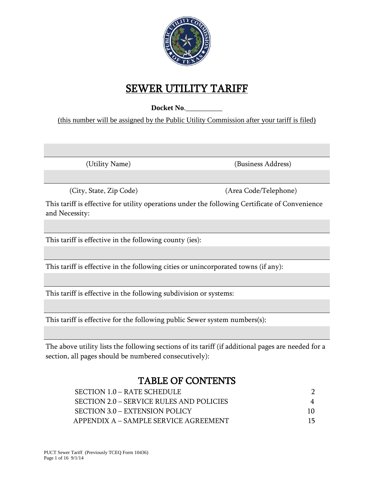

# SEWER UTILITY TARIFF

Docket No.

(this number will be assigned by the Public Utility Commission after your tariff is filed)

(Utility Name) (Business Address)

(City, State, Zip Code) (Area Code/Telephone)

This tariff is effective for utility operations under the following Certificate of Convenience and Necessity:

This tariff is effective in the following county (ies):

This tariff is effective in the following cities or unincorporated towns (if any):

This tariff is effective in the following subdivision or systems:

This tariff is effective for the following public Sewer system numbers(s):

The above utility lists the following sections of its tariff (if additional pages are needed for a section, all pages should be numbered consecutively):

# TABLE OF CONTENTS

| SECTION $1.0 - RATE$ SCHEDULE            |  |
|------------------------------------------|--|
| SECTION 2.0 – SERVICE RULES AND POLICIES |  |
| SECTION 3.0 – EXTENSION POLICY           |  |
| APPENDIX A – SAMPLE SERVICE AGREEMENT    |  |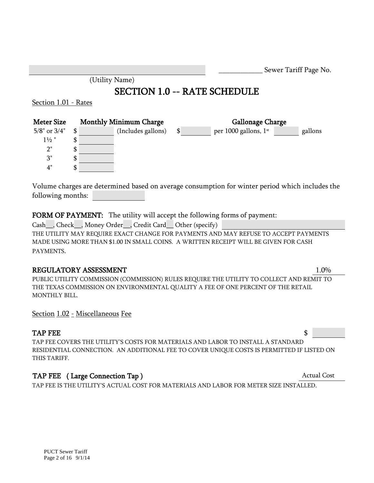|                             |                |                                     |                             | Sewer Tariff Page No. |  |
|-----------------------------|----------------|-------------------------------------|-----------------------------|-----------------------|--|
|                             | (Utility Name) |                                     |                             |                       |  |
|                             |                | <b>SECTION 1.0 -- RATE SCHEDULE</b> |                             |                       |  |
| <u>Section 1.01 - Rates</u> |                |                                     |                             |                       |  |
| <b>Meter Size</b>           |                | <b>Monthly Minimum Charge</b>       | <b>Gallonage Charge</b>     |                       |  |
| $5/8$ " or $3/4$ "          | \$             | (Includes gallons)                  | \$<br>per 1000 gallons, 1st | gallons               |  |
| $1\frac{1}{2}$ "            | \$             |                                     |                             |                       |  |
| 2"                          | \$             |                                     |                             |                       |  |
| 3"                          | \$             |                                     |                             |                       |  |
| 4"                          | \$             |                                     |                             |                       |  |
|                             |                |                                     |                             |                       |  |

Volume charges are determined based on average consumption for winter period which includes the following months:

## FORM OF PAYMENT: The utility will accept the following forms of payment:

Cash\_\_, Check\_\_, Money Order\_\_, Credit Card\_\_ Other (specify) THE UTILITY MAY REQUIRE EXACT CHANGE FOR PAYMENTS AND MAY REFUSE TO ACCEPT PAYMENTS MADE USING MORE THAN \$1.00 IN SMALL COINS. A WRITTEN RECEIPT WILL BE GIVEN FOR CASH PAYMENTS.

#### REGULATORY ASSESSMENT 1.0%

PUBLIC UTILITY COMMISSION (COMMISSION) RULES REQUIRE THE UTILITY TO COLLECT AND REMIT TO THE TEXAS COMMISSION ON ENVIRONMENTAL QUALITY A FEE OF ONE PERCENT OF THE RETAIL MONTHLY BILL.

Section 1.02 - Miscellaneous Fee

## TAP FEE  $\qquad \qquad$

TAP FEE COVERS THE UTILITY'S COSTS FOR MATERIALS AND LABOR TO INSTALL A STANDARD RESIDENTIAL CONNECTION. AN ADDITIONAL FEE TO COVER UNIQUE COSTS IS PERMITTED IF LISTED ON THIS TARIFF.

# TAP FEE (Large Connection Tap ) Actual Cost

TAP FEE IS THE UTILITY'S ACTUAL COST FOR MATERIALS AND LABOR FOR METER SIZE INSTALLED.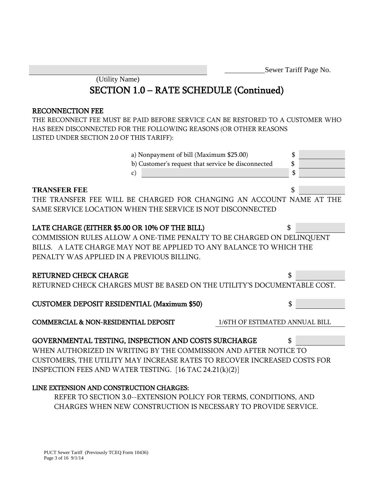\_\_\_\_\_\_\_\_\_\_\_Sewer Tariff Page No.

(Utility Name)

# SECTION 1.0 – RATE SCHEDULE (Continued)

#### RECONNECTION FEE

THE RECONNECT FEE MUST BE PAID BEFORE SERVICE CAN BE RESTORED TO A CUSTOMER WHO HAS BEEN DISCONNECTED FOR THE FOLLOWING REASONS (OR OTHER REASONS LISTED UNDER SECTION 2.0 OF THIS TARIFF):



COMMISSION RULES ALLOW A ONE-TIME PENALTY TO BE CHARGED ON DELINQUENT BILLS. A LATE CHARGE MAY NOT BE APPLIED TO ANY BALANCE TO WHICH THE PENALTY WAS APPLIED IN A PREVIOUS BILLING.

#### RETURNED CHECK CHARGE  $\sim$

RETURNED CHECK CHARGES MUST BE BASED ON THE UTILITY'S DOCUMENTABLE COST.

# CUSTOMER DEPOSIT RESIDENTIAL (Maximum \$50) \$

COMMERCIAL & NON-RESIDENTIAL DEPOSIT 1/6TH OF ESTIMATED ANNUAL BILL

# GOVERNMENTAL TESTING, INSPECTION AND COSTS SURCHARGE \$

WHEN AUTHORIZED IN WRITING BY THE COMMISSION AND AFTER NOTICE TO CUSTOMERS, THE UTILITY MAY INCREASE RATES TO RECOVER INCREASED COSTS FOR INSPECTION FEES AND WATER TESTING. [16 TAC 24.21(k)(2)]

## LINE EXTENSION AND CONSTRUCTION CHARGES:

REFER TO SECTION 3.0--EXTENSION POLICY FOR TERMS, CONDITIONS, AND CHARGES WHEN NEW CONSTRUCTION IS NECESSARY TO PROVIDE SERVICE.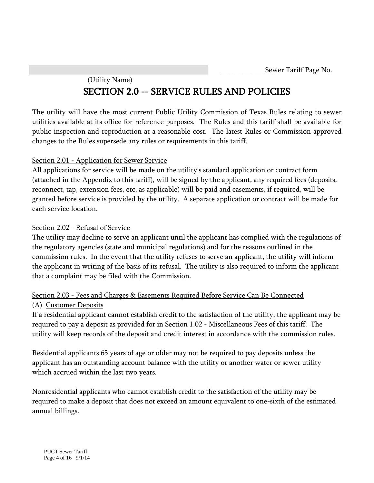\_\_\_\_\_\_\_\_\_\_\_\_Sewer Tariff Page No.

# (Utility Name) SECTION 2.0 -- SERVICE RULES AND POLICIES

The utility will have the most current Public Utility Commission of Texas Rules relating to sewer utilities available at its office for reference purposes. The Rules and this tariff shall be available for public inspection and reproduction at a reasonable cost. The latest Rules or Commission approved changes to the Rules supersede any rules or requirements in this tariff.

## Section 2.01 - Application for Sewer Service

All applications for service will be made on the utility's standard application or contract form (attached in the Appendix to this tariff), will be signed by the applicant, any required fees (deposits, reconnect, tap, extension fees, etc. as applicable) will be paid and easements, if required, will be granted before service is provided by the utility. A separate application or contract will be made for each service location.

#### Section 2.02 - Refusal of Service

The utility may decline to serve an applicant until the applicant has complied with the regulations of the regulatory agencies (state and municipal regulations) and for the reasons outlined in the commission rules. In the event that the utility refuses to serve an applicant, the utility will inform the applicant in writing of the basis of its refusal. The utility is also required to inform the applicant that a complaint may be filed with the Commission.

# Section 2.03 - Fees and Charges & Easements Required Before Service Can Be Connected

#### (A) Customer Deposits

If a residential applicant cannot establish credit to the satisfaction of the utility, the applicant may be required to pay a deposit as provided for in Section 1.02 - Miscellaneous Fees of this tariff. The utility will keep records of the deposit and credit interest in accordance with the commission rules.

Residential applicants 65 years of age or older may not be required to pay deposits unless the applicant has an outstanding account balance with the utility or another water or sewer utility which accrued within the last two years.

Nonresidential applicants who cannot establish credit to the satisfaction of the utility may be required to make a deposit that does not exceed an amount equivalent to one-sixth of the estimated annual billings.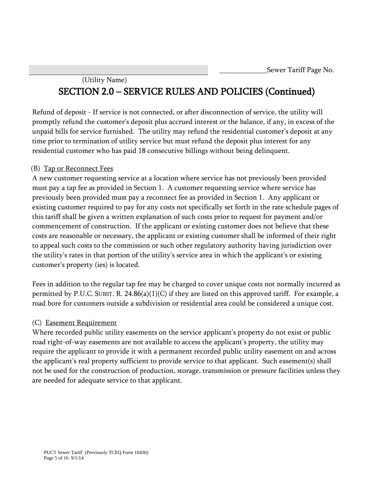# (Utility Name) SECTION 2.0 – SERVICE RULES AND POLICIES (Continued)

Refund of deposit - If service is not connected, or after disconnection of service, the utility will promptly refund the customer's deposit plus accrued interest or the balance, if any, in excess of the unpaid bills for service furnished. The utility may refund the residential customer's deposit at any time prior to termination of utility service but must refund the deposit plus interest for any residential customer who has paid 18 consecutive billings without being delinquent.

# (B) Tap or Reconnect Fees

A new customer requesting service at a location where service has not previously been provided must pay a tap fee as provided in Section 1. A customer requesting service where service has previously been provided must pay a reconnect fee as provided in Section 1. Any applicant or existing customer required to pay for any costs not specifically set forth in the rate schedule pages of this tariff shall be given a written explanation of such costs prior to request for payment and/or commencement of construction. If the applicant or existing customer does not believe that these costs are reasonable or necessary, the applicant or existing customer shall be informed of their right to appeal such costs to the commission or such other regulatory authority having jurisdiction over the utility's rates in that portion of the utility's service area in which the applicant's or existing customer's property (ies) is located.

Fees in addition to the regular tap fee may be charged to cover unique costs not normally incurred as permitted by P.U.C. SUBST. R.  $24.86(a)(1)(C)$  if they are listed on this approved tariff. For example, a road bore for customers outside a subdivision or residential area could be considered a unique cost.

# (C) Easement Requirement

Where recorded public utility easements on the service applicant's property do not exist or public road right-of-way easements are not available to access the applicant's property, the utility may require the applicant to provide it with a permanent recorded public utility easement on and across the applicant's real property sufficient to provide service to that applicant. Such easement(s) shall not be used for the construction of production, storage, transmission or pressure facilities unless they are needed for adequate service to that applicant.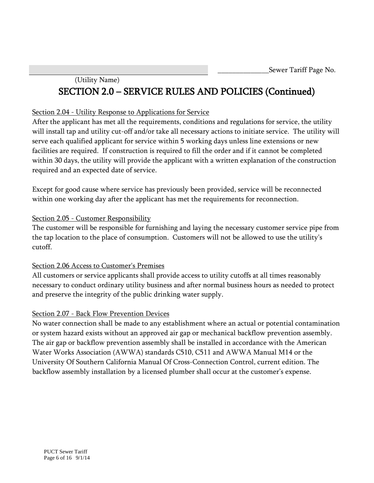# (Utility Name) SECTION 2.0 – SERVICE RULES AND POLICIES (Continued)

## Section 2.04 - Utility Response to Applications for Service

After the applicant has met all the requirements, conditions and regulations for service, the utility will install tap and utility cut-off and/or take all necessary actions to initiate service. The utility will serve each qualified applicant for service within 5 working days unless line extensions or new facilities are required. If construction is required to fill the order and if it cannot be completed within 30 days, the utility will provide the applicant with a written explanation of the construction required and an expected date of service.

Except for good cause where service has previously been provided, service will be reconnected within one working day after the applicant has met the requirements for reconnection.

## Section 2.05 - Customer Responsibility

The customer will be responsible for furnishing and laying the necessary customer service pipe from the tap location to the place of consumption. Customers will not be allowed to use the utility's cutoff.

## Section 2.06 Access to Customer's Premises

All customers or service applicants shall provide access to utility cutoffs at all times reasonably necessary to conduct ordinary utility business and after normal business hours as needed to protect and preserve the integrity of the public drinking water supply.

# Section 2.07 - Back Flow Prevention Devices

No water connection shall be made to any establishment where an actual or potential contamination or system hazard exists without an approved air gap or mechanical backflow prevention assembly. The air gap or backflow prevention assembly shall be installed in accordance with the American Water Works Association (AWWA) standards C510, C511 and AWWA Manual M14 or the University Of Southern California Manual Of Cross-Connection Control, current edition. The backflow assembly installation by a licensed plumber shall occur at the customer's expense.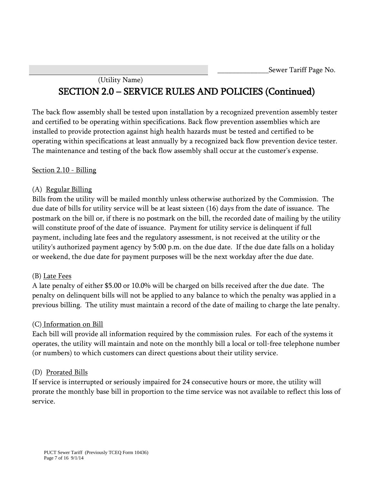# (Utility Name) SECTION 2.0 – SERVICE RULES AND POLICIES (Continued)

The back flow assembly shall be tested upon installation by a recognized prevention assembly tester and certified to be operating within specifications. Back flow prevention assemblies which are installed to provide protection against high health hazards must be tested and certified to be operating within specifications at least annually by a recognized back flow prevention device tester. The maintenance and testing of the back flow assembly shall occur at the customer's expense.

## Section 2.10 - Billing

#### (A) Regular Billing

Bills from the utility will be mailed monthly unless otherwise authorized by the Commission. The due date of bills for utility service will be at least sixteen (16) days from the date of issuance. The postmark on the bill or, if there is no postmark on the bill, the recorded date of mailing by the utility will constitute proof of the date of issuance. Payment for utility service is delinquent if full payment, including late fees and the regulatory assessment, is not received at the utility or the utility's authorized payment agency by 5:00 p.m. on the due date. If the due date falls on a holiday or weekend, the due date for payment purposes will be the next workday after the due date.

#### (B) Late Fees

A late penalty of either \$5.00 or 10.0% will be charged on bills received after the due date. The penalty on delinquent bills will not be applied to any balance to which the penalty was applied in a previous billing. The utility must maintain a record of the date of mailing to charge the late penalty.

## (C) Information on Bill

Each bill will provide all information required by the commission rules. For each of the systems it operates, the utility will maintain and note on the monthly bill a local or toll-free telephone number (or numbers) to which customers can direct questions about their utility service.

#### (D) Prorated Bills

If service is interrupted or seriously impaired for 24 consecutive hours or more, the utility will prorate the monthly base bill in proportion to the time service was not available to reflect this loss of service.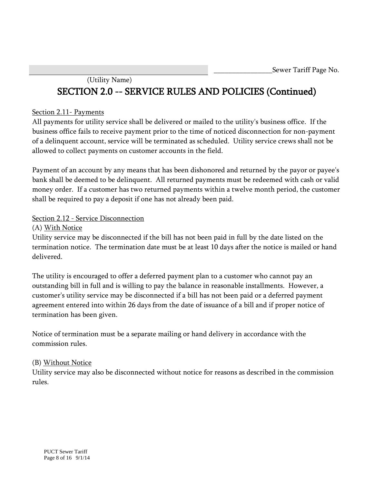# (Utility Name) SECTION 2.0 -- SERVICE RULES AND POLICIES (Continued)

#### Section 2.11- Payments

All payments for utility service shall be delivered or mailed to the utility's business office. If the business office fails to receive payment prior to the time of noticed disconnection for non-payment of a delinquent account, service will be terminated as scheduled. Utility service crews shall not be allowed to collect payments on customer accounts in the field.

Payment of an account by any means that has been dishonored and returned by the payor or payee's bank shall be deemed to be delinquent. All returned payments must be redeemed with cash or valid money order. If a customer has two returned payments within a twelve month period, the customer shall be required to pay a deposit if one has not already been paid.

## Section 2.12 - Service Disconnection

(A) With Notice

Utility service may be disconnected if the bill has not been paid in full by the date listed on the termination notice. The termination date must be at least 10 days after the notice is mailed or hand delivered.

The utility is encouraged to offer a deferred payment plan to a customer who cannot pay an outstanding bill in full and is willing to pay the balance in reasonable installments. However, a customer's utility service may be disconnected if a bill has not been paid or a deferred payment agreement entered into within 26 days from the date of issuance of a bill and if proper notice of termination has been given.

Notice of termination must be a separate mailing or hand delivery in accordance with the commission rules.

## (B) Without Notice

Utility service may also be disconnected without notice for reasons as described in the commission rules.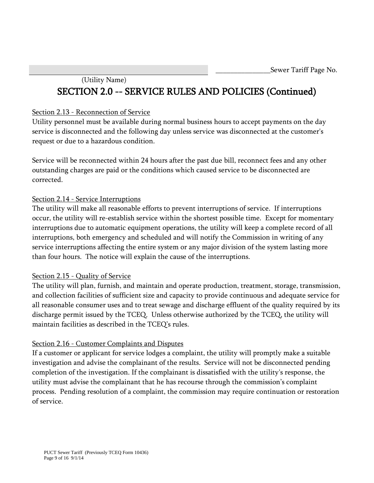# (Utility Name) SECTION 2.0 -- SERVICE RULES AND POLICIES (Continued)

#### Section 2.13 - Reconnection of Service

Utility personnel must be available during normal business hours to accept payments on the day service is disconnected and the following day unless service was disconnected at the customer's request or due to a hazardous condition.

Service will be reconnected within 24 hours after the past due bill, reconnect fees and any other outstanding charges are paid or the conditions which caused service to be disconnected are corrected.

#### Section 2.14 - Service Interruptions

The utility will make all reasonable efforts to prevent interruptions of service. If interruptions occur, the utility will re-establish service within the shortest possible time. Except for momentary interruptions due to automatic equipment operations, the utility will keep a complete record of all interruptions, both emergency and scheduled and will notify the Commission in writing of any service interruptions affecting the entire system or any major division of the system lasting more than four hours. The notice will explain the cause of the interruptions.

#### Section 2.15 - Quality of Service

The utility will plan, furnish, and maintain and operate production, treatment, storage, transmission, and collection facilities of sufficient size and capacity to provide continuous and adequate service for all reasonable consumer uses and to treat sewage and discharge effluent of the quality required by its discharge permit issued by the TCEQ. Unless otherwise authorized by the TCEQ, the utility will maintain facilities as described in the TCEQ's rules.

## Section 2.16 - Customer Complaints and Disputes

If a customer or applicant for service lodges a complaint, the utility will promptly make a suitable investigation and advise the complainant of the results. Service will not be disconnected pending completion of the investigation. If the complainant is dissatisfied with the utility's response, the utility must advise the complainant that he has recourse through the commission's complaint process. Pending resolution of a complaint, the commission may require continuation or restoration of service.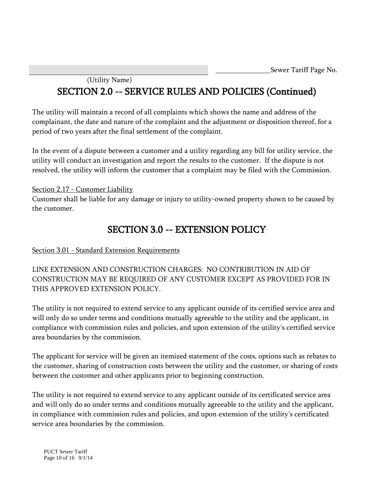# (Utility Name) SECTION 2.0 -- SERVICE RULES AND POLICIES (Continued)

The utility will maintain a record of all complaints which shows the name and address of the complainant, the date and nature of the complaint and the adjustment or disposition thereof, for a period of two years after the final settlement of the complaint.

In the event of a dispute between a customer and a utility regarding any bill for utility service, the utility will conduct an investigation and report the results to the customer. If the dispute is not resolved, the utility will inform the customer that a complaint may be filed with the Commission.

## Section 2.17 - Customer Liability

Customer shall be liable for any damage or injury to utility-owned property shown to be caused by the customer.

# SECTION 3.0 -- EXTENSION POLICY

## Section 3.01 - Standard Extension Requirements

LINE EXTENSION AND CONSTRUCTION CHARGES: NO CONTRIBUTION IN AID OF CONSTRUCTION MAY BE REQUIRED OF ANY CUSTOMER EXCEPT AS PROVIDED FOR IN THIS APPROVED EXTENSION POLICY.

The utility is not required to extend service to any applicant outside of its certified service area and will only do so under terms and conditions mutually agreeable to the utility and the applicant, in compliance with commission rules and policies, and upon extension of the utility's certified service area boundaries by the commission.

The applicant for service will be given an itemized statement of the costs, options such as rebates to the customer, sharing of construction costs between the utility and the customer, or sharing of costs between the customer and other applicants prior to beginning construction.

The utility is not required to extend service to any applicant outside of its certificated service area and will only do so under terms and conditions mutually agreeable to the utility and the applicant, in compliance with commission rules and policies, and upon extension of the utility's certificated service area boundaries by the commission.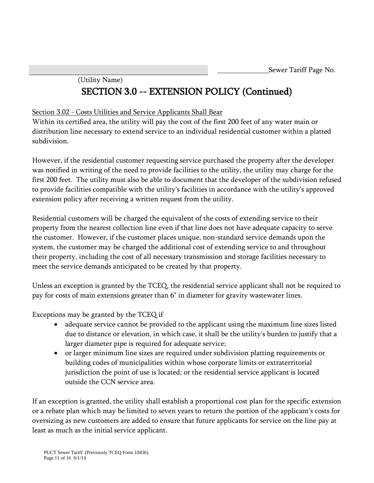# (Utility Name) SECTION 3.0 -- EXTENSION POLICY (Continued)

## Section 3.02 - Costs Utilities and Service Applicants Shall Bear

Within its certified area, the utility will pay the cost of the first 200 feet of any water main or distribution line necessary to extend service to an individual residential customer within a platted subdivision.

However, if the residential customer requesting service purchased the property after the developer was notified in writing of the need to provide facilities to the utility, the utility may charge for the first 200 feet. The utility must also be able to document that the developer of the subdivision refused to provide facilities compatible with the utility's facilities in accordance with the utility's approved extension policy after receiving a written request from the utility.

Residential customers will be charged the equivalent of the costs of extending service to their property from the nearest collection line even if that line does not have adequate capacity to serve the customer. However, if the customer places unique, non-standard service demands upon the system, the customer may be charged the additional cost of extending service to and throughout their property, including the cost of all necessary transmission and storage facilities necessary to meet the service demands anticipated to be created by that property.

Unless an exception is granted by the TCEQ, the residential service applicant shall not be required to pay for costs of main extensions greater than 6" in diameter for gravity wastewater lines.

Exceptions may be granted by the TCEQ if

- adequate service cannot be provided to the applicant using the maximum line sizes listed due to distance or elevation, in which case, it shall be the utility's burden to justify that a larger diameter pipe is required for adequate service;
- or larger minimum line sizes are required under subdivision platting requirements or building codes of municipalities within whose corporate limits or extraterritorial jurisdiction the point of use is located; or the residential service applicant is located outside the CCN service area.

If an exception is granted, the utility shall establish a proportional cost plan for the specific extension or a rebate plan which may be limited to seven years to return the portion of the applicant's costs for oversizing as new customers are added to ensure that future applicants for service on the line pay at least as much as the initial service applicant.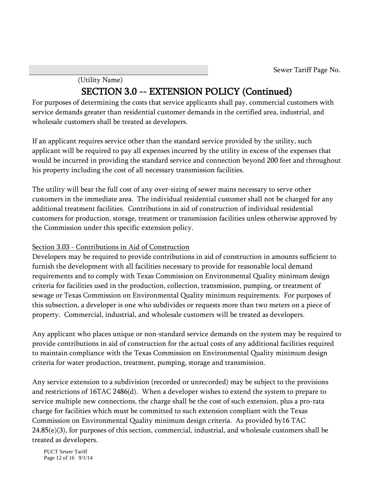# (Utility Name) SECTION 3.0 -- EXTENSION POLICY (Continued)

For purposes of determining the costs that service applicants shall pay, commercial customers with service demands greater than residential customer demands in the certified area, industrial, and wholesale customers shall be treated as developers.

If an applicant requires service other than the standard service provided by the utility, such applicant will be required to pay all expenses incurred by the utility in excess of the expenses that would be incurred in providing the standard service and connection beyond 200 feet and throughout his property including the cost of all necessary transmission facilities.

The utility will bear the full cost of any over-sizing of sewer mains necessary to serve other customers in the immediate area. The individual residential customer shall not be charged for any additional treatment facilities. Contributions in aid of construction of individual residential customers for production, storage, treatment or transmission facilities unless otherwise approved by the Commission under this specific extension policy.

## Section 3.03 - Contributions in Aid of Construction

Developers may be required to provide contributions in aid of construction in amounts sufficient to furnish the development with all facilities necessary to provide for reasonable local demand requirements and to comply with Texas Commission on Environmental Quality minimum design criteria for facilities used in the production, collection, transmission, pumping, or treatment of sewage or Texas Commission on Environmental Quality minimum requirements. For purposes of this subsection, a developer is one who subdivides or requests more than two meters on a piece of property. Commercial, industrial, and wholesale customers will be treated as developers.

Any applicant who places unique or non-standard service demands on the system may be required to provide contributions in aid of construction for the actual costs of any additional facilities required to maintain compliance with the Texas Commission on Environmental Quality minimum design criteria for water production, treatment, pumping, storage and transmission.

Any service extension to a subdivision (recorded or unrecorded) may be subject to the provisions and restrictions of 16TAC 2486(d). When a developer wishes to extend the system to prepare to service multiple new connections, the charge shall be the cost of such extension, plus a pro-rata charge for facilities which must be committed to such extension compliant with the Texas Commission on Environmental Quality minimum design criteria. As provided by16 TAC  $24.85(e)(3)$ , for purposes of this section, commercial, industrial, and wholesale customers shall be treated as developers.

PUCT Sewer Tariff Page 12 of 16 9/1/14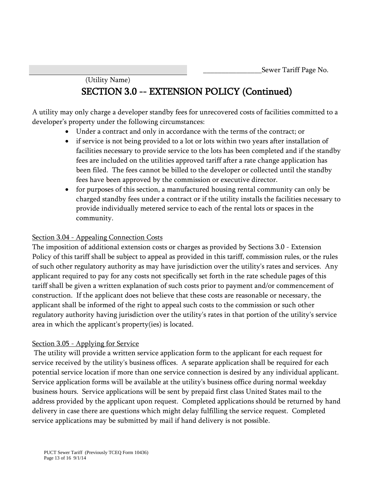# (Utility Name) SECTION 3.0 -- EXTENSION POLICY (Continued)

A utility may only charge a developer standby fees for unrecovered costs of facilities committed to a developer's property under the following circumstances:

- Under a contract and only in accordance with the terms of the contract; or
- if service is not being provided to a lot or lots within two years after installation of facilities necessary to provide service to the lots has been completed and if the standby fees are included on the utilities approved tariff after a rate change application has been filed. The fees cannot be billed to the developer or collected until the standby fees have been approved by the commission or executive director.
- for purposes of this section, a manufactured housing rental community can only be charged standby fees under a contract or if the utility installs the facilities necessary to provide individually metered service to each of the rental lots or spaces in the community.

### Section 3.04 - Appealing Connection Costs

The imposition of additional extension costs or charges as provided by Sections 3.0 - Extension Policy of this tariff shall be subject to appeal as provided in this tariff, commission rules, or the rules of such other regulatory authority as may have jurisdiction over the utility's rates and services. Any applicant required to pay for any costs not specifically set forth in the rate schedule pages of this tariff shall be given a written explanation of such costs prior to payment and/or commencement of construction. If the applicant does not believe that these costs are reasonable or necessary, the applicant shall be informed of the right to appeal such costs to the commission or such other regulatory authority having jurisdiction over the utility's rates in that portion of the utility's service area in which the applicant's property(ies) is located.

## Section 3.05 - Applying for Service

The utility will provide a written service application form to the applicant for each request for service received by the utility's business offices. A separate application shall be required for each potential service location if more than one service connection is desired by any individual applicant. Service application forms will be available at the utility's business office during normal weekday business hours. Service applications will be sent by prepaid first class United States mail to the address provided by the applicant upon request. Completed applications should be returned by hand delivery in case there are questions which might delay fulfilling the service request. Completed service applications may be submitted by mail if hand delivery is not possible.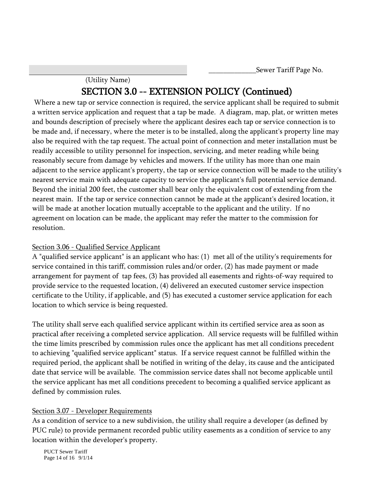# (Utility Name) SECTION 3.0 -- EXTENSION POLICY (Continued)

 Where a new tap or service connection is required, the service applicant shall be required to submit a written service application and request that a tap be made. A diagram, map, plat, or written metes and bounds description of precisely where the applicant desires each tap or service connection is to be made and, if necessary, where the meter is to be installed, along the applicant's property line may also be required with the tap request. The actual point of connection and meter installation must be readily accessible to utility personnel for inspection, servicing, and meter reading while being reasonably secure from damage by vehicles and mowers. If the utility has more than one main adjacent to the service applicant's property, the tap or service connection will be made to the utility's nearest service main with adequate capacity to service the applicant's full potential service demand. Beyond the initial 200 feet, the customer shall bear only the equivalent cost of extending from the nearest main. If the tap or service connection cannot be made at the applicant's desired location, it will be made at another location mutually acceptable to the applicant and the utility. If no agreement on location can be made, the applicant may refer the matter to the commission for resolution.

## Section 3.06 - Qualified Service Applicant

A "qualified service applicant" is an applicant who has: (1) met all of the utility's requirements for service contained in this tariff, commission rules and/or order, (2) has made payment or made arrangement for payment of tap fees, (3) has provided all easements and rights-of-way required to provide service to the requested location, (4) delivered an executed customer service inspection certificate to the Utility, if applicable, and (5) has executed a customer service application for each location to which service is being requested.

The utility shall serve each qualified service applicant within its certified service area as soon as practical after receiving a completed service application. All service requests will be fulfilled within the time limits prescribed by commission rules once the applicant has met all conditions precedent to achieving "qualified service applicant" status. If a service request cannot be fulfilled within the required period, the applicant shall be notified in writing of the delay, its cause and the anticipated date that service will be available. The commission service dates shall not become applicable until the service applicant has met all conditions precedent to becoming a qualified service applicant as defined by commission rules.

## Section 3.07 - Developer Requirements

As a condition of service to a new subdivision, the utility shall require a developer (as defined by PUC rule) to provide permanent recorded public utility easements as a condition of service to any location within the developer's property.

PUCT Sewer Tariff Page 14 of 16 9/1/14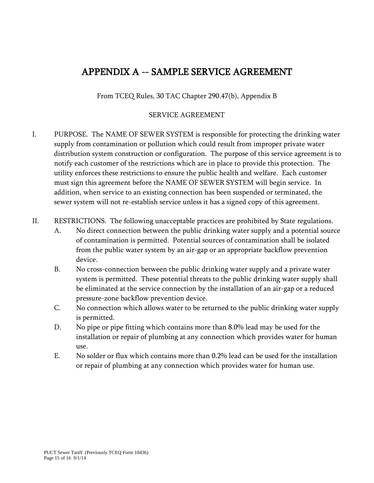# APPENDIX A -- SAMPLE SERVICE AGREEMENT

From TCEQ Rules, 30 TAC Chapter 290.47(b), Appendix B

#### SERVICE AGREEMENT

- I. PURPOSE. The NAME OF SEWER SYSTEM is responsible for protecting the drinking water supply from contamination or pollution which could result from improper private water distribution system construction or configuration. The purpose of this service agreement is to notify each customer of the restrictions which are in place to provide this protection. The utility enforces these restrictions to ensure the public health and welfare. Each customer must sign this agreement before the NAME OF SEWER SYSTEM will begin service. In addition, when service to an existing connection has been suspended or terminated, the sewer system will not re-establish service unless it has a signed copy of this agreement.
- II. RESTRICTIONS. The following unacceptable practices are prohibited by State regulations.
	- A. No direct connection between the public drinking water supply and a potential source of contamination is permitted. Potential sources of contamination shall be isolated from the public water system by an air-gap or an appropriate backflow prevention device.
	- B. No cross-connection between the public drinking water supply and a private water system is permitted. These potential threats to the public drinking water supply shall be eliminated at the service connection by the installation of an air-gap or a reduced pressure-zone backflow prevention device.
	- C. No connection which allows water to be returned to the public drinking water supply is permitted.
	- D. No pipe or pipe fitting which contains more than 8.0% lead may be used for the installation or repair of plumbing at any connection which provides water for human use.
	- E. No solder or flux which contains more than 0.2% lead can be used for the installation or repair of plumbing at any connection which provides water for human use.